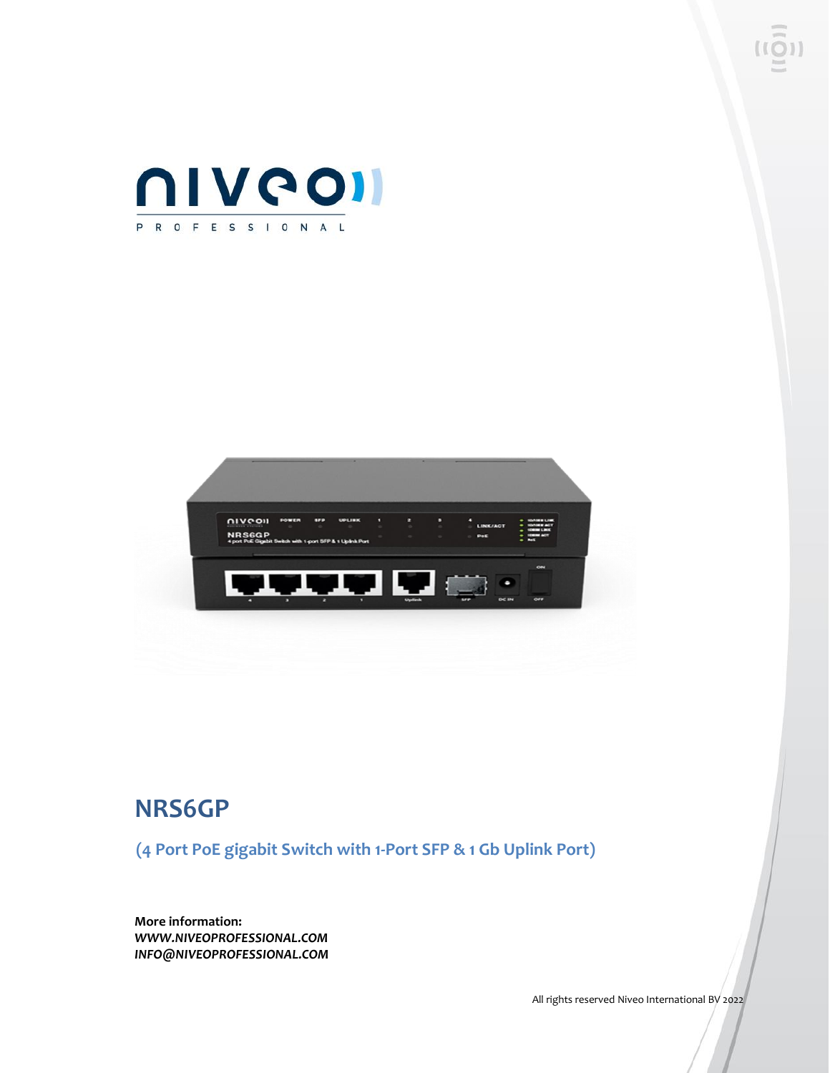



## **NRS6GP**

**(4 Port PoE gigabit Switch with 1-Port SFP & 1 Gb Uplink Port)**

**More information:** *WWW.NIVEOPROFESSIONAL.COM INFO@NIVEOPROFESSIONAL.COM*

All rights reserved Niveo International BV 2022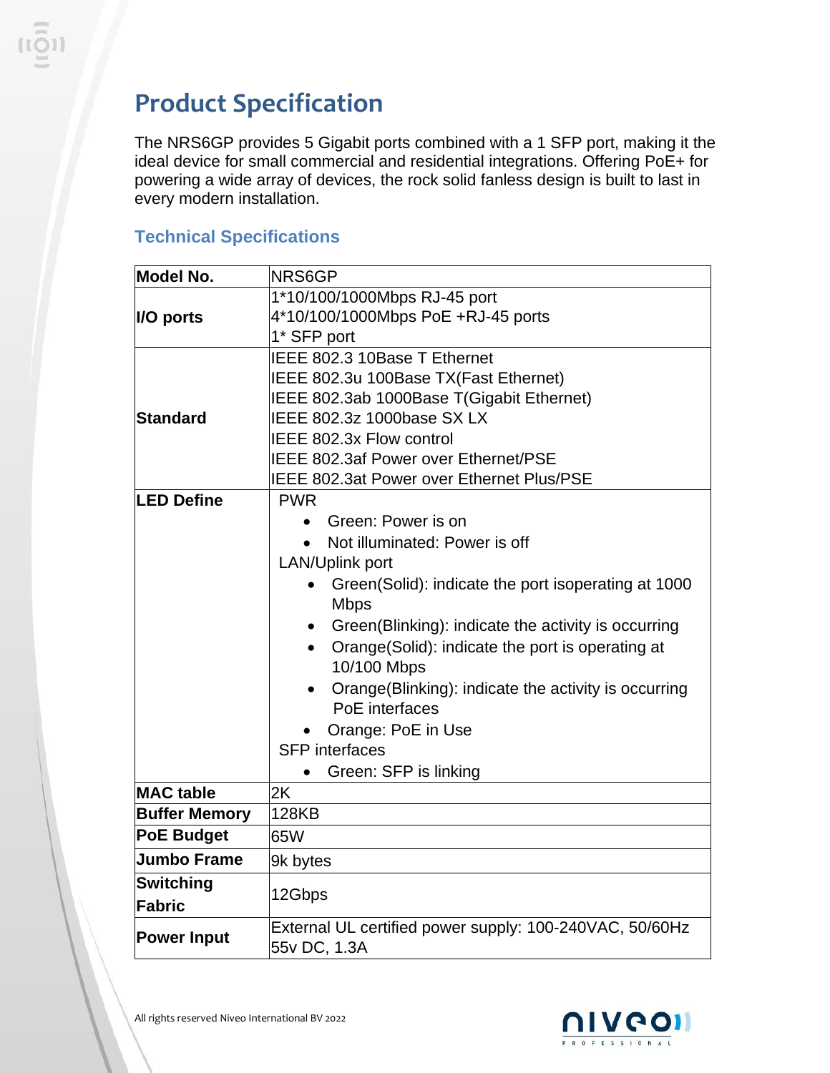## **Product Specification**

The NRS6GP provides 5 Gigabit ports combined with a 1 SFP port, making it the ideal device for small commercial and residential integrations. Offering PoE+ for powering a wide array of devices, the rock solid fanless design is built to last in every modern installation.

## **Technical Specifications**

| <b>Model No.</b>           | NRS6GP                                                             |
|----------------------------|--------------------------------------------------------------------|
|                            | 1*10/100/1000Mbps RJ-45 port                                       |
| I/O ports                  | 4*10/100/1000Mbps PoE +RJ-45 ports                                 |
|                            | 1* SFP port                                                        |
|                            | IEEE 802.3 10Base T Ethernet                                       |
|                            | IEEE 802.3u 100Base TX(Fast Ethernet)                              |
|                            | IEEE 802.3ab 1000Base T(Gigabit Ethernet)                          |
| <b>Standard</b>            | IEEE 802.3z 1000base SX LX                                         |
|                            | IEEE 802.3x Flow control                                           |
|                            | <b>IEEE 802.3af Power over Ethernet/PSE</b>                        |
|                            | <b>IEEE 802.3at Power over Ethernet Plus/PSE</b>                   |
| <b>LED Define</b>          | <b>PWR</b>                                                         |
|                            | Green: Power is on<br>$\bullet$                                    |
|                            | Not illuminated: Power is off                                      |
|                            | <b>LAN/Uplink port</b>                                             |
|                            | Green(Solid): indicate the port isoperating at 1000<br><b>Mbps</b> |
|                            | Green(Blinking): indicate the activity is occurring                |
|                            | Orange(Solid): indicate the port is operating at                   |
|                            | 10/100 Mbps                                                        |
|                            | Orange(Blinking): indicate the activity is occurring               |
|                            | PoE interfaces                                                     |
|                            | Orange: PoE in Use                                                 |
|                            | <b>SFP</b> interfaces                                              |
|                            | Green: SFP is linking                                              |
| <b>MAC</b> table           | 2K                                                                 |
| <b>Buffer Memory</b>       | <b>128KB</b>                                                       |
| <b>PoE Budget</b>          | 65W                                                                |
| <b>Jumbo Frame</b>         | 9k bytes                                                           |
| <b>Switching</b><br>Fabric | 12Gbps                                                             |
|                            |                                                                    |
| <b>Power Input</b>         | External UL certified power supply: 100-240VAC, 50/60Hz            |
|                            | 55v DC, 1.3A                                                       |